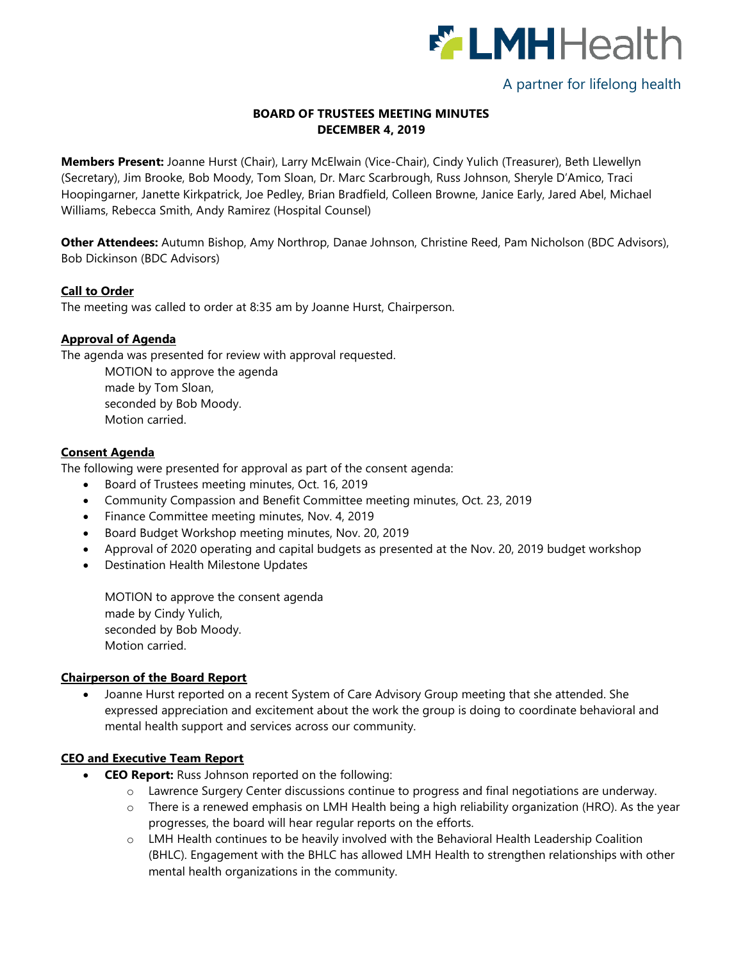

# A partner for lifelong health

# **BOARD OF TRUSTEES MEETING MINUTES DECEMBER 4, 2019**

**Members Present:** Joanne Hurst (Chair), Larry McElwain (Vice-Chair), Cindy Yulich (Treasurer), Beth Llewellyn (Secretary), Jim Brooke, Bob Moody, Tom Sloan, Dr. Marc Scarbrough, Russ Johnson, Sheryle D'Amico, Traci Hoopingarner, Janette Kirkpatrick, Joe Pedley, Brian Bradfield, Colleen Browne, Janice Early, Jared Abel, Michael Williams, Rebecca Smith, Andy Ramirez (Hospital Counsel)

**Other Attendees:** Autumn Bishop, Amy Northrop, Danae Johnson, Christine Reed, Pam Nicholson (BDC Advisors), Bob Dickinson (BDC Advisors)

### **Call to Order**

The meeting was called to order at 8:35 am by Joanne Hurst, Chairperson.

### **Approval of Agenda**

The agenda was presented for review with approval requested.

MOTION to approve the agenda made by Tom Sloan, seconded by Bob Moody. Motion carried.

### **Consent Agenda**

The following were presented for approval as part of the consent agenda:

- Board of Trustees meeting minutes, Oct. 16, 2019
- Community Compassion and Benefit Committee meeting minutes, Oct. 23, 2019
- Finance Committee meeting minutes, Nov. 4, 2019
- Board Budget Workshop meeting minutes, Nov. 20, 2019
- Approval of 2020 operating and capital budgets as presented at the Nov. 20, 2019 budget workshop
- Destination Health Milestone Updates

MOTION to approve the consent agenda made by Cindy Yulich, seconded by Bob Moody. Motion carried.

#### **Chairperson of the Board Report**

 Joanne Hurst reported on a recent System of Care Advisory Group meeting that she attended. She expressed appreciation and excitement about the work the group is doing to coordinate behavioral and mental health support and services across our community.

# **CEO and Executive Team Report**

- **CEO Report:** Russ Johnson reported on the following:
	- o Lawrence Surgery Center discussions continue to progress and final negotiations are underway.
	- o There is a renewed emphasis on LMH Health being a high reliability organization (HRO). As the year progresses, the board will hear regular reports on the efforts.
	- o LMH Health continues to be heavily involved with the Behavioral Health Leadership Coalition (BHLC). Engagement with the BHLC has allowed LMH Health to strengthen relationships with other mental health organizations in the community.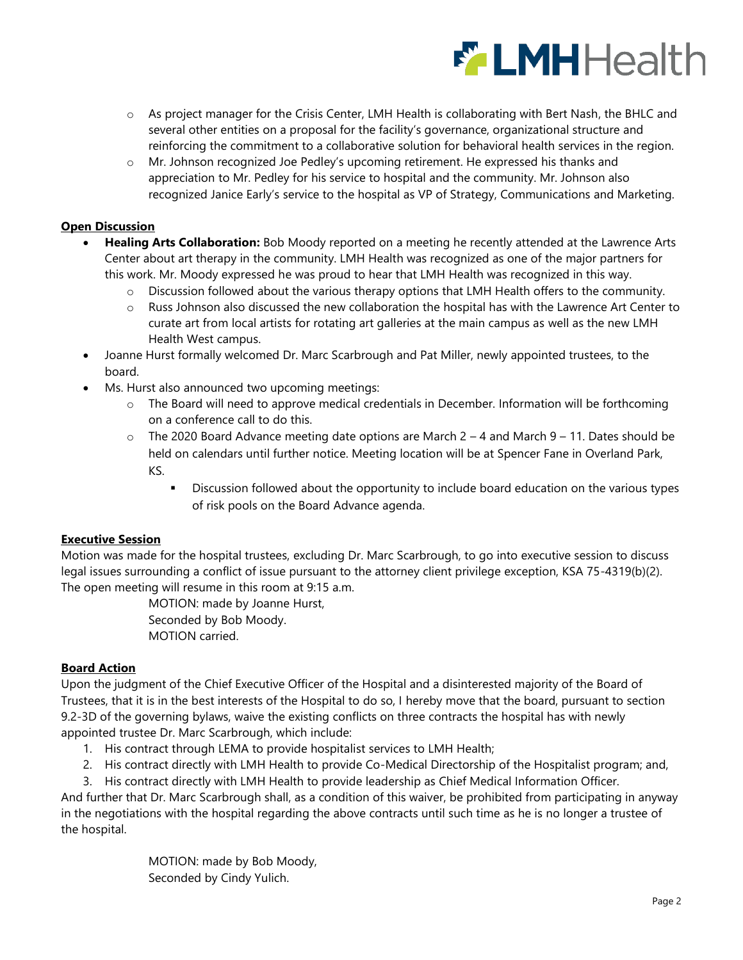

- o As project manager for the Crisis Center, LMH Health is collaborating with Bert Nash, the BHLC and several other entities on a proposal for the facility's governance, organizational structure and reinforcing the commitment to a collaborative solution for behavioral health services in the region.
- o Mr. Johnson recognized Joe Pedley's upcoming retirement. He expressed his thanks and appreciation to Mr. Pedley for his service to hospital and the community. Mr. Johnson also recognized Janice Early's service to the hospital as VP of Strategy, Communications and Marketing.

# **Open Discussion**

- **Healing Arts Collaboration:** Bob Moody reported on a meeting he recently attended at the Lawrence Arts Center about art therapy in the community. LMH Health was recognized as one of the major partners for this work. Mr. Moody expressed he was proud to hear that LMH Health was recognized in this way.
	- $\circ$  Discussion followed about the various therapy options that LMH Health offers to the community.
	- o Russ Johnson also discussed the new collaboration the hospital has with the Lawrence Art Center to curate art from local artists for rotating art galleries at the main campus as well as the new LMH Health West campus.
- Joanne Hurst formally welcomed Dr. Marc Scarbrough and Pat Miller, newly appointed trustees, to the board.
- Ms. Hurst also announced two upcoming meetings:
	- o The Board will need to approve medical credentials in December. Information will be forthcoming on a conference call to do this.
	- $\circ$  The 2020 Board Advance meeting date options are March 2 4 and March 9 11. Dates should be held on calendars until further notice. Meeting location will be at Spencer Fane in Overland Park, KS.
		- Discussion followed about the opportunity to include board education on the various types of risk pools on the Board Advance agenda.

# **Executive Session**

Motion was made for the hospital trustees, excluding Dr. Marc Scarbrough, to go into executive session to discuss legal issues surrounding a conflict of issue pursuant to the attorney client privilege exception, KSA 75-4319(b)(2). The open meeting will resume in this room at 9:15 a.m.

> MOTION: made by Joanne Hurst, Seconded by Bob Moody. MOTION carried.

# **Board Action**

Upon the judgment of the Chief Executive Officer of the Hospital and a disinterested majority of the Board of Trustees, that it is in the best interests of the Hospital to do so, I hereby move that the board, pursuant to section 9.2-3D of the governing bylaws, waive the existing conflicts on three contracts the hospital has with newly appointed trustee Dr. Marc Scarbrough, which include:

- 1. His contract through LEMA to provide hospitalist services to LMH Health;
- 2. His contract directly with LMH Health to provide Co-Medical Directorship of the Hospitalist program; and,
- 3. His contract directly with LMH Health to provide leadership as Chief Medical Information Officer.

And further that Dr. Marc Scarbrough shall, as a condition of this waiver, be prohibited from participating in anyway in the negotiations with the hospital regarding the above contracts until such time as he is no longer a trustee of the hospital.

> MOTION: made by Bob Moody, Seconded by Cindy Yulich.